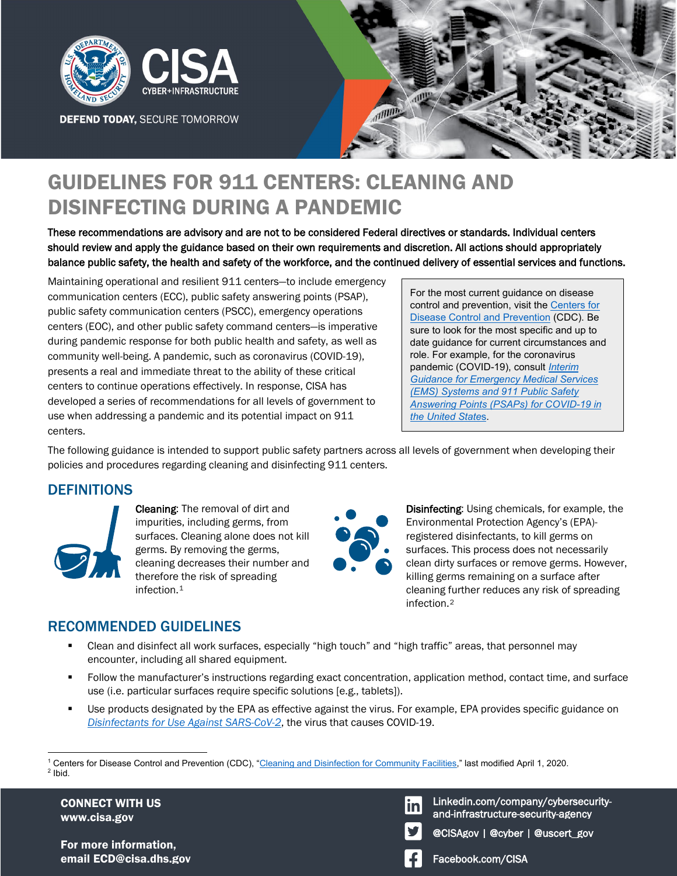

**DEFEND TODAY, SECURE TOMORROW** 



# GUIDELINES FOR 911 CENTERS: CLEANING AND DISINFECTING DURING A PANDEMIC

These recommendations are advisory and are not to be considered Federal directives or standards. Individual centers should review and apply the guidance based on their own requirements and discretion. All actions should appropriately balance public safety, the health and safety of the workforce, and the continued delivery of essential services and functions.

Maintaining operational and resilient 911 centers—to include emergency communication centers (ECC), public safety answering points (PSAP), public safety communication centers (PSCC), emergency operations centers (EOC), and other public safety command centers—is imperative during pandemic response for both public health and safety, as well as community well-being. A pandemic, such as coronavirus (COVID-19), presents a real and immediate threat to the ability of these critical centers to continue operations effectively. In response, CISA has developed a series of recommendations for all levels of government to use when addressing a pandemic and its potential impact on 911 centers.

For the most current guidance on disease control and prevention, visit the [Centers for](https://www.cdc.gov/)  [Disease Control and Prevention](https://www.cdc.gov/) (CDC). Be sure to look for the most specific and up to date guidance for current circumstances and role. For example, for the coronavirus pandemic (COVID-19), consult *[Interim](https://www.cdc.gov/coronavirus/2019-ncov/hcp/guidance-for-ems.html)  [Guidance for Emergency Medical Services](https://www.cdc.gov/coronavirus/2019-ncov/hcp/guidance-for-ems.html)  [\(EMS\) Systems and 911 Public Safety](https://www.cdc.gov/coronavirus/2019-ncov/hcp/guidance-for-ems.html)  [Answering Points \(PSAPs\) for COVID-19 in](https://www.cdc.gov/coronavirus/2019-ncov/hcp/guidance-for-ems.html)  [the United State](https://www.cdc.gov/coronavirus/2019-ncov/hcp/guidance-for-ems.html)*s.

The following guidance is intended to support public safety partners across all levels of government when developing their policies and procedures regarding cleaning and disinfecting 911 centers.

### **DEFINITIONS**



Cleaning: The removal of dirt and impurities, including germs, from surfaces. Cleaning alone does not kill germs. By removing the germs, cleaning decreases their number and therefore the risk of spreading infection.[1](#page-0-0)



Disinfecting: Using chemicals, for example, the Environmental Protection Agency's (EPA) registered disinfectants, to kill germs on surfaces. This process does not necessarily clean dirty surfaces or remove germs. However, killing germs remaining on a surface after cleaning further reduces any risk of spreading infection.[2](#page-0-1)

## RECOMMENDED GUIDELINES

- Clean and disinfect all work surfaces, especially "high touch" and "high traffic" areas, that personnel may encounter, including all shared equipment.
- Follow the manufacturer's instructions regarding exact concentration, application method, contact time, and surface use (i.e. particular surfaces require specific solutions [e.g., tablets]).
- Use products designated by the EPA as effective against the virus. For example, EPA provides specific guidance on *[Disinfectants for Use Against SARS-CoV-2](https://www.epa.gov/pesticide-registration/list-n-disinfectants-use-against-sars-cov-2)*, the virus that causes COVID-19.

CONNECT WITH US www.cisa.gov

For more information, email ECD@cisa.dhs.gov Facebook.com/CISA

Linkedin.com/company/cybersecurityand-infrastructure-security-agency

@CISAgov | @cyber | @uscert\_gov



<span id="page-0-1"></span><span id="page-0-0"></span> $\overline{a}$ <sup>1</sup> Centers for Disease Control and Prevention (CDC), "<u>Cleaning and Disinfection for Community Facilities</u>," last modified April 1, 2020.<br><sup>2</sup> Ibid  $2$  Ibid.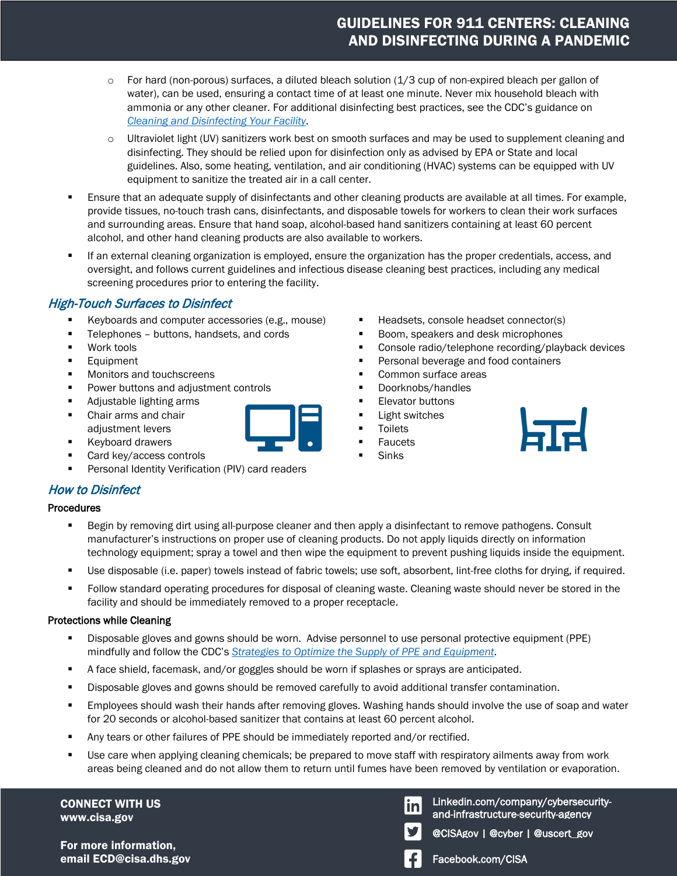# GUIDELINES FOR 911 CENTERS: CLEANING AND DISINFECTING DURING A PANDEMIC

- $\circ$  For hard (non-porous) surfaces, a diluted bleach solution (1/3 cup of non-expired bleach per gallon of water), can be used, ensuring a contact time of at least one minute. Never mix household bleach with ammonia or any other cleaner. For additional disinfecting best practices, see the CDC's guidance on *[Cleaning and Disinfecting Your Facility](https://www.cdc.gov/coronavirus/2019-ncov/prepare/disinfecting-building-facility.html)*.
- o Ultraviolet light (UV) sanitizers work best on smooth surfaces and may be used to supplement cleaning and disinfecting. They should be relied upon for disinfection only as advised by EPA or State and local guidelines. Also, some heating, ventilation, and air conditioning (HVAC) systems can be equipped with UV equipment to sanitize the treated air in a call center.
- Ensure that an adequate supply of disinfectants and other cleaning products are available at all times. For example, provide tissues, no-touch trash cans, disinfectants, and disposable towels for workers to clean their work surfaces and surrounding areas. Ensure that hand soap, alcohol-based hand sanitizers containing at least 60 percent alcohol, and other hand cleaning products are also available to workers.
- If an external cleaning organization is employed, ensure the organization has the proper credentials, access, and oversight, and follows current guidelines and infectious disease cleaning best practices, including any medical screening procedures prior to entering the facility.

### High-Touch Surfaces to Disinfect

- Keyboards and computer accessories (e.g., mouse)
- **Telephones buttons, handsets, and cords**
- **Work tools**
- **Equipment**
- **Monitors and touchscreens**
- **Power buttons and adjustment controls**
- Adjustable lighting arms
- **Chair arms and chair** adjustment levers
- **Keyboard drawers**
- Card key/access controls
- Personal Identity Verification (PIV) card readers

#### How to Disinfect

#### Procedures

- **Begin by removing dirt using all-purpose cleaner and then apply a disinfectant to remove pathogens. Consult** manufacturer's instructions on proper use of cleaning products. Do not apply liquids directly on information technology equipment; spray a towel and then wipe the equipment to prevent pushing liquids inside the equipment.
- Use disposable (i.e. paper) towels instead of fabric towels; use soft, absorbent, lint-free cloths for drying, if required.
- Follow standard operating procedures for disposal of cleaning waste. Cleaning waste should never be stored in the facility and should be immediately removed to a proper receptacle.

#### Protections while Cleaning

- Disposable gloves and gowns should be worn. Advise personnel to use personal protective equipment (PPE) mindfully and follow the CDC's *[Strategies to Optimize the Supply of PPE and Equipment](https://www.cdc.gov/coronavirus/2019-ncov/hcp/ppe-strategy/index.html?CDC_AA_refVal=https%3A%2F%2Fwww.cdc.gov%2Fcoronavirus%2F2019-ncov%2Fhcp%2Fhealthcare-supply-ppe-index.html)*.
- **A** face shield, facemask, and/or goggles should be worn if splashes or sprays are anticipated.
- **Disposable gloves and gowns should be removed carefully to avoid additional transfer contamination.**
- Employees should wash their hands after removing gloves. Washing hands should involve the use of soap and water for 20 seconds or alcohol-based sanitizer that contains at least 60 percent alcohol.
- Any tears or other failures of PPE should be immediately reported and/or rectified.
- Use care when applying cleaning chemicals; be prepared to move staff with respiratory ailments away from work areas being cleaned and do not allow them to return until fumes have been removed by ventilation or evaporation.

CONNECT WITH US www.cisa.gov

For more information, email ECD@cisa.dhs.gov Facebook.com/CISA

■ Headsets, console headset connector(s)

- Boom, speakers and desk microphones
- **Console radio/telephone recording/playback devices**
- **Personal beverage and food containers**
- Common surface areas
- **Doorknobs/handles**
- Elevator buttons
- Light switches
- Toilets
- Faucets
- **Sinks**



Linkedin.com/company/cybersecurity-**In** and-infrastructure-security-agency

@CISAgov | @cyber | @uscert\_gov